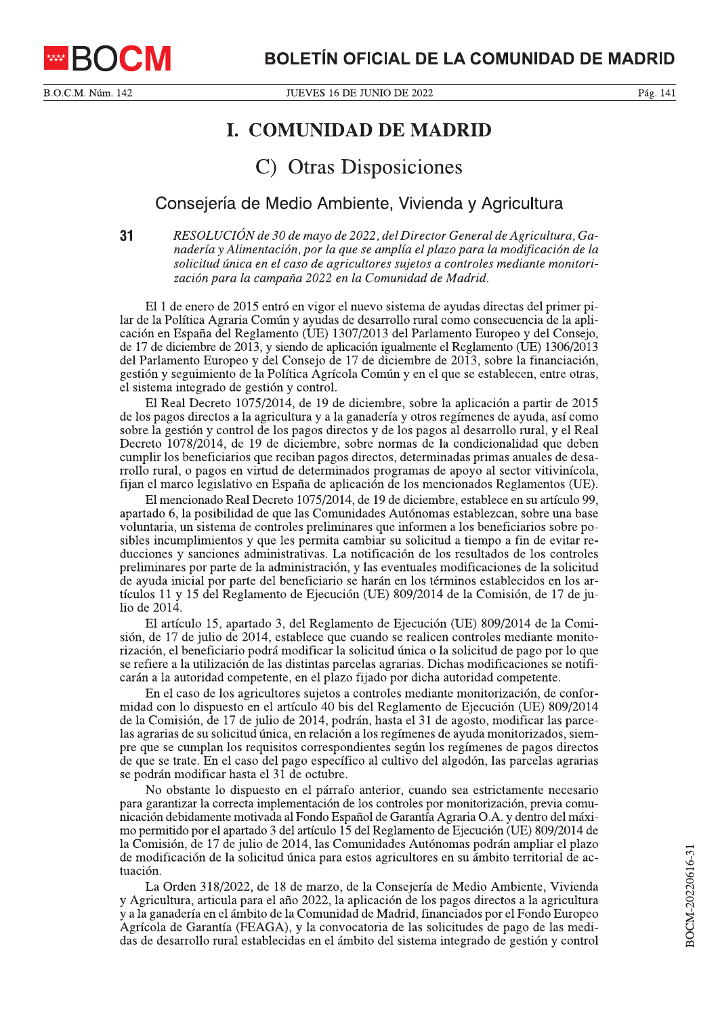

B.O.C.M. Núm. 142

## **I. COMUNIDAD DE MADRID**

## C) Otras Disposiciones

## Consejería de Medio Ambiente, Vivienda y Agricultura

 $31$ RESOLUCIÓN de 30 de mayo de 2022, del Director General de Agricultura, Ganadería y Alimentación, por la que se amplía el plazo para la modificación de la solicitud única en el caso de agricultores sujetos a controles mediante monitorización para la campaña 2022 en la Comunidad de Madrid.

El 1 de enero de 2015 entró en vigor el nuevo sistema de ayudas directas del primer pilar de la Política Agraria Común y ayudas de desarrollo rural como consecuencia de la aplicación en España del Reglamento (UE) 1307/2013 del Parlamento Europeo y del Consejo, de 17 de diciembre de 2013, y siendo de aplicación igualmente el Reglamento (UE) 1306/2013 del Parlamento Europeo y del Consejo de 17 de diciembre de 2013, sobre la financiación, gestión y seguimiento de la Política Agrícola Común y en el que se establecen, entre otras, el sistema integrado de gestión y control.

El Real Decreto 1075/2014, de 19 de diciembre, sobre la aplicación a partir de 2015 de los pagos directos a la agricultura y a la ganadería y otros regímenes de ayuda, así como sobre la gestión y control de los pagos directos y de los pagos al desarrollo rural, y el Real Decreto 1078/2014, de 19 de diciembre, sobre normas de la condicionalidad que deben cumplir los beneficiarios que reciban pagos directos, determinadas primas anuales de desarrollo rural, o pagos en virtud de determinados programas de apoyo al sector vitivinícola, fijan el marco legislativo en España de aplicación de los mencionados Reglamentos (UE).

El mencionado Real Decreto 1075/2014, de 19 de diciembre, establece en su artículo 99, apartado 6, la posibilidad de que las Comunidades Autónomas establezcan, sobre una base voluntaria, un sistema de controles preliminares que informen a los beneficiarios sobre posibles incumplimientos y que les permita cambiar su solicitud a tiempo a fin de evitar reducciones y sanciones administrativas. La notificación de los resultados de los controles preliminares por parte de la administración, y las eventuales modificaciones de la solicitud de ayuda inicial por parte del beneficiario se harán en los términos establecidos en los artículos 11 y 15 del Reglamento de Ejecución (UE) 809/2014 de la Comisión, de 17 de julio de  $2014$ .

El artículo 15, apartado 3, del Reglamento de Ejecución (UE) 809/2014 de la Comisión, de 17 de julio de 2014, establece que cuando se realicen controles mediante monitorización, el beneficiario podrá modificar la solicitud única o la solicitud de pago por lo que se refiere a la utilización de las distintas parcelas agrarias. Dichas modificaciones se notificarán a la autoridad competente, en el plazo fijado por dicha autoridad competente.

En el caso de los agricultores sujetos a controles mediante monitorización, de conformidad con lo dispuesto en el artículo 40 bis del Reglamento de Ejecución (UE) 809/2014 de la Comisión, de 17 de julio de 2014, podrán, hasta el 31 de agosto, modificar las parcelas agrarias de su solicitud única, en relación a los regímenes de ayuda monitorizados, siempre que se cumplan los requisitos correspondientes según los regímenes de pagos directos de que se trate. En el caso del pago específico al cultivo del algodón, las parcelas agrarias se podrán modificar hasta el 31 de octubre.

No obstante lo dispuesto en el párrafo anterior, cuando sea estrictamente necesario para garantizar la correcta implementación de los controles por monitorización, previa comunicación debidamente motivada al Fondo Español de Garantía Agraria O.A. y dentro del máximo permitido por el apartado 3 del artículo 15 del Reglamento de Ejecución (UE) 809/2014 de la Comisión, de 17 de julio de 2014, las Comunidades Autónomas podrán ampliar el plazo de modificación de la solicitud única para estos agricultores en su ámbito territorial de actuación.

La Orden 318/2022, de 18 de marzo, de la Consejería de Medio Ambiente, Vivienda y Agricultura, articula para el año 2022, la aplicación de los pagos directos a la agricultura y a la ganadería en el ámbito de la Comunidad de Madrid, financiados por el Fondo Europeo Agrícola de Garantía (FEAGA), y la convocatoria de las solicitudes de pago de las medidas de desarrollo rural establecidas en el ámbito del sistema integrado de gestión y control